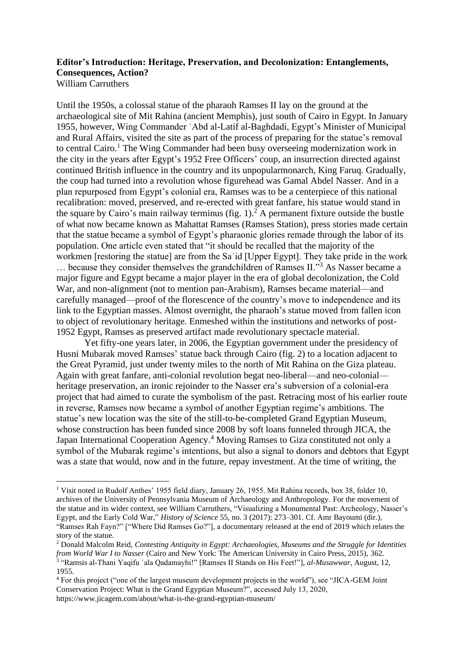# **Editor's Introduction: Heritage, Preservation, and Decolonization: Entanglements, Consequences, Action?**

William Carruthers

Until the 1950s, a colossal statue of the pharaoh Ramses II lay on the ground at the archaeological site of Mit Rahina (ancient Memphis), just south of Cairo in Egypt. In January 1955, however, Wing Commander ʿAbd al-Latif al-Baghdadi, Egypt's Minister of Municipal and Rural Affairs, visited the site as part of the process of preparing for the statue's removal to central Cairo.<sup>1</sup> The Wing Commander had been busy overseeing modernization work in the city in the years after Egypt's 1952 Free Officers' coup, an insurrection directed against continued British influence in the country and its unpopularmonarch, King Faruq. Gradually, the coup had turned into a revolution whose figurehead was Gamal Abdel Nasser. And in a plan repurposed from Egypt's colonial era, Ramses was to be a centerpiece of this national recalibration: moved, preserved, and re-erected with great fanfare, his statue would stand in the square by Cairo's main railway terminus (fig.  $1$ ).<sup>2</sup> A permanent fixture outside the bustle of what now became known as Mahattat Ramses (Ramses Station), press stories made certain that the statue became a symbol of Egypt's pharaonic glories remade through the labor of its population. One article even stated that "it should be recalled that the majority of the workmen [restoring the statue] are from the Saʿid [Upper Egypt]. They take pride in the work ... because they consider themselves the grandchildren of Ramses II."<sup>3</sup> As Nasser became a major figure and Egypt became a major player in the era of global decolonization, the Cold War, and non-alignment (not to mention pan-Arabism), Ramses became material—and carefully managed—proof of the florescence of the country's move to independence and its link to the Egyptian masses. Almost overnight, the pharaoh's statue moved from fallen icon to object of revolutionary heritage. Enmeshed within the institutions and networks of post-1952 Egypt, Ramses as preserved artifact made revolutionary spectacle material.

Yet fifty-one years later, in 2006, the Egyptian government under the presidency of Husni Mubarak moved Ramses' statue back through Cairo (fig. 2) to a location adjacent to the Great Pyramid, just under twenty miles to the north of Mit Rahina on the Giza plateau. Again with great fanfare, anti-colonial revolution begat neo-liberal—and neo-colonial heritage preservation, an ironic rejoinder to the Nasser era's subversion of a colonial-era project that had aimed to curate the symbolism of the past. Retracing most of his earlier route in reverse, Ramses now became a symbol of another Egyptian regime's ambitions. The statue's new location was the site of the still-to-be-completed Grand Egyptian Museum, whose construction has been funded since 2008 by soft loans funneled through JICA, the Japan International Cooperation Agency. <sup>4</sup> Moving Ramses to Giza constituted not only a symbol of the Mubarak regime's intentions, but also a signal to donors and debtors that Egypt was a state that would, now and in the future, repay investment. At the time of writing, the

<sup>1</sup> Visit noted in Rudolf Anthes' 1955 field diary, January 26, 1955. Mit Rahina records, box 38, folder 10, archives of the University of Pennsylvania Museum of Archaeology and Anthropology. For the movement of the statue and its wider context, see William Carruthers, "Visualizing a Monumental Past: Archeology, Nasser's Egypt, and the Early Cold War," *History of Science* 55, no. 3 (2017): 273–301. Cf. Amr Bayoumi (dir.), "Ramses Rah Fayn?" ["Where Did Ramses Go?"], a documentary released at the end of 2019 which relates the story of the statue.

<sup>2</sup> Donald Malcolm Reid, *Contesting Antiquity in Egypt: Archaeologies, Museums and the Struggle for Identities from World War I to Nasser* (Cairo and New York: The American University in Cairo Press, 2015), 362. 3 "Ramsis al-Thani Yaqifu ʿala Qadamayhi!" [Ramses II Stands on His Feet!"], *al-Musawwar*, August, 12, 1955.

<sup>4</sup> For this project ("one of the largest museum development projects in the world"), see "JICA-GEM Joint Conservation Project: What is the Grand Egyptian Museum?", accessed July 13, 2020, https://www.jicagem.com/about/what-is-the-grand-egyptian-museum/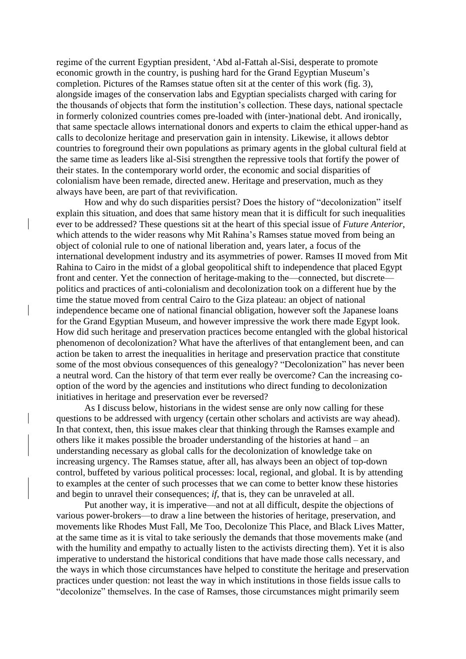regime of the current Egyptian president, 'Abd al-Fattah al-Sisi, desperate to promote economic growth in the country, is pushing hard for the Grand Egyptian Museum's completion. Pictures of the Ramses statue often sit at the center of this work (fig. 3), alongside images of the conservation labs and Egyptian specialists charged with caring for the thousands of objects that form the institution's collection. These days, national spectacle in formerly colonized countries comes pre-loaded with (inter-)national debt. And ironically, that same spectacle allows international donors and experts to claim the ethical upper-hand as calls to decolonize heritage and preservation gain in intensity. Likewise, it allows debtor countries to foreground their own populations as primary agents in the global cultural field at the same time as leaders like al-Sisi strengthen the repressive tools that fortify the power of their states. In the contemporary world order, the economic and social disparities of colonialism have been remade, directed anew. Heritage and preservation, much as they always have been, are part of that revivification.

How and why do such disparities persist? Does the history of "decolonization" itself explain this situation, and does that same history mean that it is difficult for such inequalities ever to be addressed? These questions sit at the heart of this special issue of *Future Anterior*, which attends to the wider reasons why Mit Rahina's Ramses statue moved from being an object of colonial rule to one of national liberation and, years later, a focus of the international development industry and its asymmetries of power. Ramses II moved from Mit Rahina to Cairo in the midst of a global geopolitical shift to independence that placed Egypt front and center. Yet the connection of heritage-making to the—connected, but discrete politics and practices of anti-colonialism and decolonization took on a different hue by the time the statue moved from central Cairo to the Giza plateau: an object of national independence became one of national financial obligation, however soft the Japanese loans for the Grand Egyptian Museum, and however impressive the work there made Egypt look. How did such heritage and preservation practices become entangled with the global historical phenomenon of decolonization? What have the afterlives of that entanglement been, and can action be taken to arrest the inequalities in heritage and preservation practice that constitute some of the most obvious consequences of this genealogy? "Decolonization" has never been a neutral word. Can the history of that term ever really be overcome? Can the increasing cooption of the word by the agencies and institutions who direct funding to decolonization initiatives in heritage and preservation ever be reversed?

As I discuss below, historians in the widest sense are only now calling for these questions to be addressed with urgency (certain other scholars and activists are way ahead). In that context, then, this issue makes clear that thinking through the Ramses example and others like it makes possible the broader understanding of the histories at hand – an understanding necessary as global calls for the decolonization of knowledge take on increasing urgency. The Ramses statue, after all, has always been an object of top-down control, buffeted by various political processes: local, regional, and global. It is by attending to examples at the center of such processes that we can come to better know these histories and begin to unravel their consequences; *if*, that is, they can be unraveled at all.

Put another way, it is imperative—and not at all difficult, despite the objections of various power-brokers—to draw a line between the histories of heritage, preservation, and movements like Rhodes Must Fall, Me Too, Decolonize This Place, and Black Lives Matter, at the same time as it is vital to take seriously the demands that those movements make (and with the humility and empathy to actually listen to the activists directing them). Yet it is also imperative to understand the historical conditions that have made those calls necessary, and the ways in which those circumstances have helped to constitute the heritage and preservation practices under question: not least the way in which institutions in those fields issue calls to "decolonize" themselves. In the case of Ramses, those circumstances might primarily seem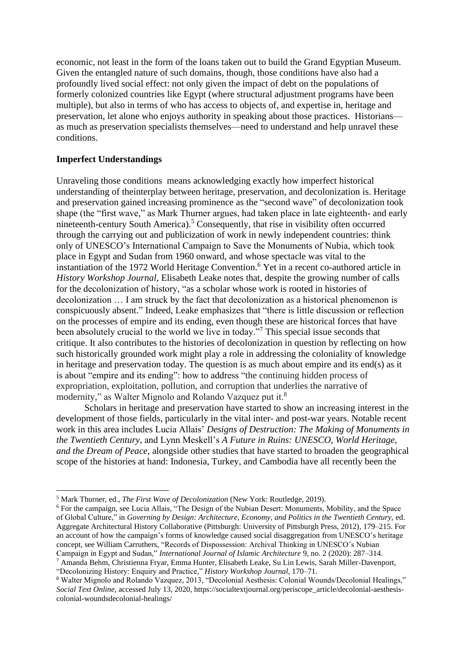economic, not least in the form of the loans taken out to build the Grand Egyptian Museum. Given the entangled nature of such domains, though, those conditions have also had a profoundly lived social effect: not only given the impact of debt on the populations of formerly colonized countries like Egypt (where structural adjustment programs have been multiple), but also in terms of who has access to objects of, and expertise in, heritage and preservation, let alone who enjoys authority in speaking about those practices. Historians as much as preservation specialists themselves—need to understand and help unravel these conditions.

# **Imperfect Understandings**

Unraveling those conditions means acknowledging exactly how imperfect historical understanding of theinterplay between heritage, preservation, and decolonization is. Heritage and preservation gained increasing prominence as the "second wave" of decolonization took shape (the "first wave," as Mark Thurner argues, had taken place in late eighteenth- and early nineteenth-century South America). <sup>5</sup> Consequently, that rise in visibility often occurred through the carrying out and publicization of work in newly independent countries: think only of UNESCO's International Campaign to Save the Monuments of Nubia, which took place in Egypt and Sudan from 1960 onward, and whose spectacle was vital to the instantiation of the 1972 World Heritage Convention. <sup>6</sup> Yet in a recent co-authored article in *History Workshop Journal*, Elisabeth Leake notes that, despite the growing number of calls for the decolonization of history, "as a scholar whose work is rooted in histories of decolonization … I am struck by the fact that decolonization as a historical phenomenon is conspicuously absent." Indeed, Leake emphasizes that "there is little discussion or reflection on the processes of empire and its ending, even though these are historical forces that have been absolutely crucial to the world we live in today.<sup>"7</sup> This special issue seconds that critique. It also contributes to the histories of decolonization in question by reflecting on how such historically grounded work might play a role in addressing the coloniality of knowledge in heritage and preservation today. The question is as much about empire and its end(s) as it is about "empire and its ending": how to address "the continuing hidden process of expropriation, exploitation, pollution, and corruption that underlies the narrative of modernity," as Walter Mignolo and Rolando Vazquez put it.<sup>8</sup>

Scholars in heritage and preservation have started to show an increasing interest in the development of those fields, particularly in the vital inter- and post-war years. Notable recent work in this area includes Lucia Allais' *Designs of Destruction: The Making of Monuments in the Twentieth Century*, and Lynn Meskell's *A Future in Ruins: UNESCO, World Heritage, and the Dream of Peace*, alongside other studies that have started to broaden the geographical scope of the histories at hand: Indonesia, Turkey, and Cambodia have all recently been the

<sup>5</sup> Mark Thurner, ed., *The First Wave of Decolonization* (New York: Routledge, 2019).

<sup>&</sup>lt;sup>6</sup> For the campaign, see Lucia Allais, "The Design of the Nubian Desert: Monuments, Mobility, and the Space of Global Culture," in *Governing by Design: Architecture, Economy, and Politics in the Twentieth Century,* ed. Aggregate Architectural History Collaborative (Pittsburgh: University of Pittsburgh Press, 2012), 179–215. For an account of how the campaign's forms of knowledge caused social disaggregation from UNESCO's heritage concept, see William Carruthers, "Records of Dispossession: Archival Thinking in UNESCO's Nubian Campaign in Egypt and Sudan," *International Journal of Islamic Architecture* 9, no. 2 (2020): 287–314.

<sup>7</sup> Amanda Behm, Christienna Fryar, Emma Hunter, Elisabeth Leake, Su Lin Lewis, Sarah Miller-Davenport, "Decolonizing History: Enquiry and Practice," *History Workshop Journal*, 170–71.

<sup>8</sup> Walter Mignolo and Rolando Vazquez, 2013, "Decolonial Aesthesis: Colonial Wounds/Decolonial Healings," *Social Text Online*, accessed July 13, 2020, https://socialtextjournal.org/periscope\_article/decolonial-aesthesiscolonial-woundsdecolonial-healings/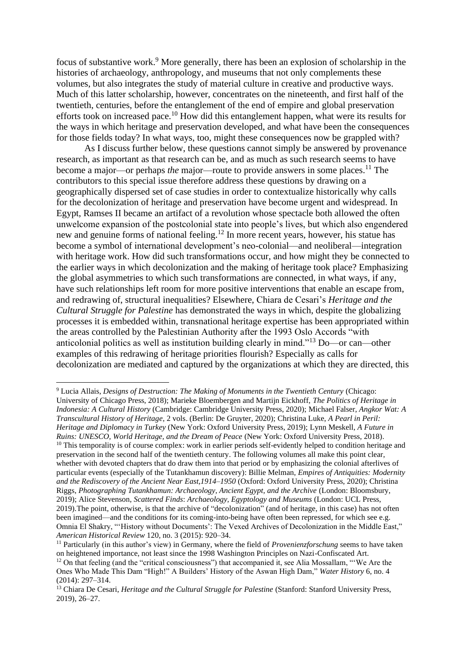focus of substantive work.<sup>9</sup> More generally, there has been an explosion of scholarship in the histories of archaeology, anthropology, and museums that not only complements these volumes, but also integrates the study of material culture in creative and productive ways. Much of this latter scholarship, however, concentrates on the nineteenth, and first half of the twentieth, centuries, before the entanglement of the end of empire and global preservation efforts took on increased pace.<sup>10</sup> How did this entanglement happen, what were its results for the ways in which heritage and preservation developed, and what have been the consequences for those fields today? In what ways, too, might these consequences now be grappled with?

As I discuss further below, these questions cannot simply be answered by provenance research, as important as that research can be, and as much as such research seems to have become a major—or perhaps *the* major—route to provide answers in some places. <sup>11</sup> The contributors to this special issue therefore address these questions by drawing on a geographically dispersed set of case studies in order to contextualize historically why calls for the decolonization of heritage and preservation have become urgent and widespread. In Egypt, Ramses II became an artifact of a revolution whose spectacle both allowed the often unwelcome expansion of the postcolonial state into people's lives, but which also engendered new and genuine forms of national feeling.<sup>12</sup> In more recent years, however, his statue has become a symbol of international development's neo-colonial—and neoliberal—integration with heritage work. How did such transformations occur, and how might they be connected to the earlier ways in which decolonization and the making of heritage took place? Emphasizing the global asymmetries to which such transformations are connected, in what ways, if any, have such relationships left room for more positive interventions that enable an escape from, and redrawing of, structural inequalities? Elsewhere, Chiara de Cesari's *Heritage and the Cultural Struggle for Palestine* has demonstrated the ways in which, despite the globalizing processes it is embedded within, transnational heritage expertise has been appropriated within the areas controlled by the Palestinian Authority after the 1993 Oslo Accords "with anticolonial politics as well as institution building clearly in mind."<sup>13</sup> Do—or can—other examples of this redrawing of heritage priorities flourish? Especially as calls for decolonization are mediated and captured by the organizations at which they are directed, this

preservation in the second half of the twentieth century. The following volumes all make this point clear, whether with devoted chapters that do draw them into that period or by emphasizing the colonial afterlives of particular events (especially of the Tutankhamun discovery): Billie Melman, *Empires of Antiquities: Modernity and the Rediscovery of the Ancient Near East,1914–1950* (Oxford: Oxford University Press, 2020); Christina Riggs, *Photographing Tutankhamun: Archaeology, Ancient Egypt, and the Archive* (London: Bloomsbury, 2019); Alice Stevenson, *Scattered Finds*: *Archaeology, Egyptology and Museums* (London: UCL Press, 2019).The point, otherwise, is that the archive of "decolonization" (and of heritage, in this case) has not often been imagined—and the conditions for its coming-into-being have often been repressed, for which see e.g. Omnia El Shakry, "'History without Documents': The Vexed Archives of Decolonization in the Middle East," *American Historical Review* 120, no. 3 (2015): 920–34.

<sup>9</sup> Lucia Allais, *Designs of Destruction: The Making of Monuments in the Twentieth Century* (Chicago: University of Chicago Press, 2018); Marieke Bloembergen and Martijn Eickhoff, *The Politics of Heritage in Indonesia: A Cultural History* (Cambridge: Cambridge University Press, 2020); Michael Falser, *Angkor Wat: A Transcultural History of Heritage*, 2 vols. (Berlin: De Gruyter, 2020); Christina Luke, *A Pearl in Peril: Heritage and Diplomacy in Turkey* (New York: Oxford University Press, 2019); Lynn Meskell, *A Future in Ruins: UNESCO, World Heritage, and the Dream of Peace* (New York: Oxford University Press, 2018). <sup>10</sup> This temporality is of course complex: work in earlier periods self-evidently helped to condition heritage and

<sup>11</sup> Particularly (in this author's view) in Germany, where the field of *Provenienzforschung* seems to have taken on heightened importance, not least since the 1998 Washington Principles on Nazi-Confiscated Art.

<sup>&</sup>lt;sup>12</sup> On that feeling (and the "critical consciousness") that accompanied it, see Alia Mossallam, "We Are the Ones Who Made This Dam "High!" A Builders' History of the Aswan High Dam," *Water History* 6, no. 4 (2014): 297–314.

<sup>&</sup>lt;sup>13</sup> Chiara De Cesari, *Heritage and the Cultural Struggle for Palestine* (Stanford: Stanford University Press, 2019), 26–27.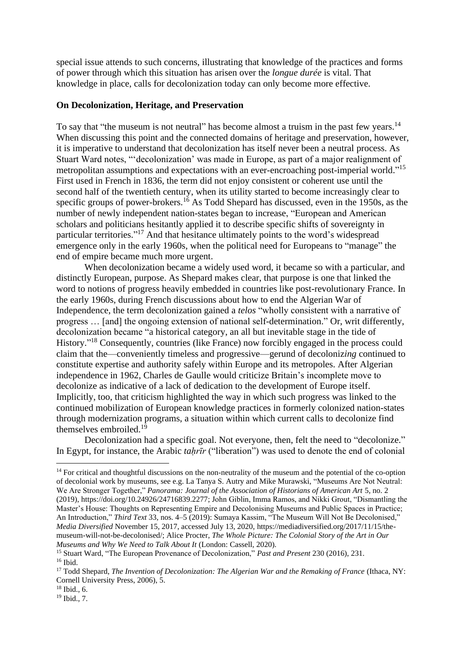special issue attends to such concerns, illustrating that knowledge of the practices and forms of power through which this situation has arisen over the *longue durée* is vital. That knowledge in place, calls for decolonization today can only become more effective.

### **On Decolonization, Heritage, and Preservation**

To say that "the museum is not neutral" has become almost a truism in the past few years.<sup>14</sup> When discussing this point and the connected domains of heritage and preservation, however, it is imperative to understand that decolonization has itself never been a neutral process. As Stuart Ward notes, "'decolonization' was made in Europe, as part of a major realignment of metropolitan assumptions and expectations with an ever-encroaching post-imperial world." 15 First used in French in 1836, the term did not enjoy consistent or coherent use until the second half of the twentieth century, when its utility started to become increasingly clear to specific groups of power-brokers.<sup>16</sup> As Todd Shepard has discussed, even in the 1950s, as the number of newly independent nation-states began to increase, "European and American scholars and politicians hesitantly applied it to describe specific shifts of sovereignty in particular territories."<sup>17</sup> And that hesitance ultimately points to the word's widespread emergence only in the early 1960s, when the political need for Europeans to "manage" the end of empire became much more urgent.

When decolonization became a widely used word, it became so with a particular, and distinctly European, purpose. As Shepard makes clear, that purpose is one that linked the word to notions of progress heavily embedded in countries like post-revolutionary France. In the early 1960s, during French discussions about how to end the Algerian War of Independence, the term decolonization gained a *telos* "wholly consistent with a narrative of progress … [and] the ongoing extension of national self-determination." Or, writ differently, decolonization became "a historical category, an all but inevitable stage in the tide of History."<sup>18</sup> Consequently, countries (like France) now forcibly engaged in the process could claim that the—conveniently timeless and progressive—gerund of decoloniz*ing* continued to constitute expertise and authority safely within Europe and its metropoles. After Algerian independence in 1962, Charles de Gaulle would criticize Britain's incomplete move to decolonize as indicative of a lack of dedication to the development of Europe itself. Implicitly, too, that criticism highlighted the way in which such progress was linked to the continued mobilization of European knowledge practices in formerly colonized nation-states through modernization programs, a situation within which current calls to decolonize find themselves embroiled. 19

Decolonization had a specific goal. Not everyone, then, felt the need to "decolonize." In Egypt, for instance, the Arabic *tahrīr* ("liberation") was used to denote the end of colonial

 $14$  For critical and thoughtful discussions on the non-neutrality of the museum and the potential of the co-option of decolonial work by museums, see e.g. La Tanya S. Autry and Mike Murawski, "Museums Are Not Neutral: We Are Stronger Together," *Panorama: Journal of the Association of Historians of American Art* 5, no. 2 (2019), https://doi.org/10.24926/24716839.2277; John Giblin, Imma Ramos, and Nikki Grout, "Dismantling the Master's House: Thoughts on Representing Empire and Decolonising Museums and Public Spaces in Practice; An Introduction," *Third Text* 33, nos. 4–5 (2019): Sumaya Kassim, "The Museum Will Not Be Decolonised," *Media Diversified* November 15, 2017, accessed July 13, 2020, https://mediadiversified.org/2017/11/15/themuseum-will-not-be-decolonised/; Alice Procter, *The Whole Picture: The Colonial Story of the Art in Our Museums and Why We Need to Talk About It* (London: Cassell, 2020).

<sup>15</sup> Stuart Ward, "The European Provenance of Decolonization," *Past and Present* 230 (2016), 231.

 $16$  Ibid.

<sup>&</sup>lt;sup>17</sup> Todd Shepard, *The Invention of Decolonization: The Algerian War and the Remaking of France* (Ithaca, NY: Cornell University Press, 2006), 5.

 $18$  Ibid., 6.

<sup>19</sup> Ibid., 7.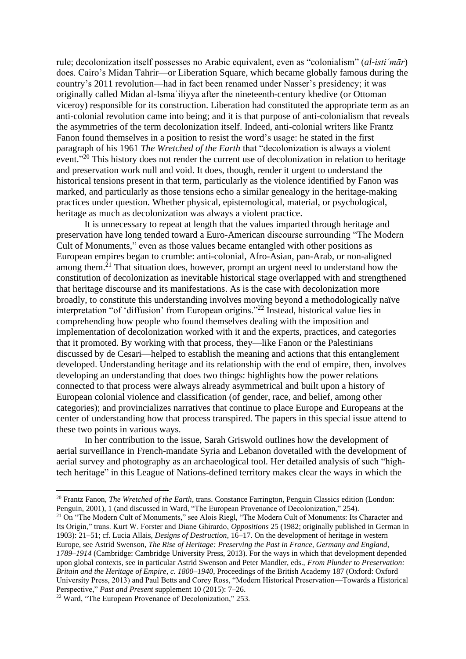rule; decolonization itself possesses no Arabic equivalent, even as "colonialism" (*al-istiʿmār*) does. Cairo's Midan Tahrir—or Liberation Square, which became globally famous during the country's 2011 revolution—had in fact been renamed under Nasser's presidency; it was originally called Midan al-Ismaʿiliyya after the nineteenth-century khedive (or Ottoman viceroy) responsible for its construction. Liberation had constituted the appropriate term as an anti-colonial revolution came into being; and it is that purpose of anti-colonialism that reveals the asymmetries of the term decolonization itself. Indeed, anti-colonial writers like Frantz Fanon found themselves in a position to resist the word's usage: he stated in the first paragraph of his 1961 *The Wretched of the Earth* that "decolonization is always a violent event."<sup>20</sup> This history does not render the current use of decolonization in relation to heritage and preservation work null and void. It does, though, render it urgent to understand the historical tensions present in that term, particularly as the violence identified by Fanon was marked, and particularly as those tensions echo a similar genealogy in the heritage-making practices under question. Whether physical, epistemological, material, or psychological, heritage as much as decolonization was always a violent practice.

It is unnecessary to repeat at length that the values imparted through heritage and preservation have long tended toward a Euro-American discourse surrounding "The Modern Cult of Monuments," even as those values became entangled with other positions as European empires began to crumble: anti-colonial, Afro-Asian, pan-Arab, or non-aligned among them. $2<sup>1</sup>$  That situation does, however, prompt an urgent need to understand how the constitution of decolonization as inevitable historical stage overlapped with and strengthened that heritage discourse and its manifestations. As is the case with decolonization more broadly, to constitute this understanding involves moving beyond a methodologically naïve interpretation "of 'diffusion' from European origins." <sup>22</sup> Instead, historical value lies in comprehending how people who found themselves dealing with the imposition and implementation of decolonization worked with it and the experts, practices, and categories that it promoted. By working with that process, they—like Fanon or the Palestinians discussed by de Cesari—helped to establish the meaning and actions that this entanglement developed. Understanding heritage and its relationship with the end of empire, then, involves developing an understanding that does two things: highlights how the power relations connected to that process were always already asymmetrical and built upon a history of European colonial violence and classification (of gender, race, and belief, among other categories); and provincializes narratives that continue to place Europe and Europeans at the center of understanding how that process transpired. The papers in this special issue attend to these two points in various ways.

In her contribution to the issue, Sarah Griswold outlines how the development of aerial surveillance in French-mandate Syria and Lebanon dovetailed with the development of aerial survey and photography as an archaeological tool. Her detailed analysis of such "hightech heritage" in this League of Nations-defined territory makes clear the ways in which the

<sup>21</sup> On "The Modern Cult of Monuments," see Alois Riegl, "The Modern Cult of Monuments: Its Character and Its Origin," trans. Kurt W. Forster and Diane Ghirardo, *Oppositions* 25 (1982; originally published in German in 1903): 21–51; cf. Lucia Allais, *Designs of Destruction*, 16–17. On the development of heritage in western Europe, see Astrid Swenson, *The Rise of Heritage: Preserving the Past in France, Germany and England, 1789–1914* (Cambridge: Cambridge University Press, 2013). For the ways in which that development depended upon global contexts, see in particular Astrid Swenson and Peter Mandler, eds., *From Plunder to Preservation: Britain and the Heritage of Empire, c. 1800–1940*, Proceedings of the British Academy 187 (Oxford: Oxford University Press, 2013) and Paul Betts and Corey Ross, "Modern Historical Preservation—Towards a Historical Perspective," *Past and Present* supplement 10 (2015): 7–26.

<sup>20</sup> Frantz Fanon, *The Wretched of the Earth*, trans. Constance Farrington, Penguin Classics edition (London: Penguin, 2001), 1 (and discussed in Ward, "The European Provenance of Decolonization," 254).

<sup>22</sup> Ward, "The European Provenance of Decolonization," 253.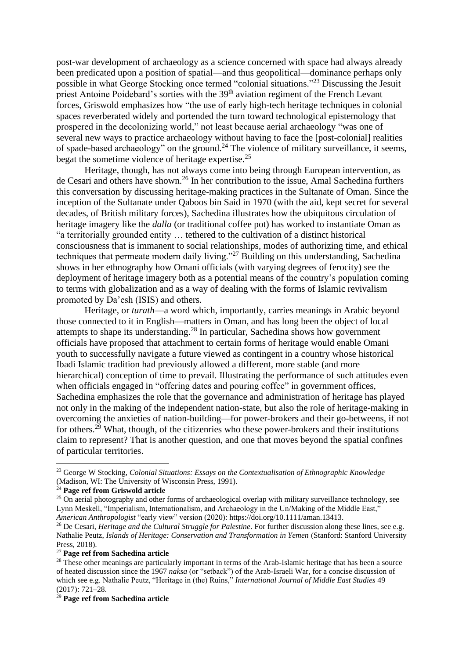post-war development of archaeology as a science concerned with space had always already been predicated upon a position of spatial—and thus geopolitical—dominance perhaps only possible in what George Stocking once termed "colonial situations."<sup>23</sup> Discussing the Jesuit priest Antoine Poidebard's sorties with the 39<sup>th</sup> aviation regiment of the French Levant forces, Griswold emphasizes how "the use of early high-tech heritage techniques in colonial spaces reverberated widely and portended the turn toward technological epistemology that prospered in the decolonizing world," not least because aerial archaeology "was one of several new ways to practice archaeology without having to face the [post-colonial] realities of spade-based archaeology" on the ground.<sup>24</sup> The violence of military surveillance, it seems, begat the sometime violence of heritage expertise.<sup>25</sup>

Heritage, though, has not always come into being through European intervention, as de Cesari and others have shown.<sup>26</sup> In her contribution to the issue, Amal Sachedina furthers this conversation by discussing heritage-making practices in the Sultanate of Oman. Since the inception of the Sultanate under Qaboos bin Said in 1970 (with the aid, kept secret for several decades, of British military forces), Sachedina illustrates how the ubiquitous circulation of heritage imagery like the *dalla* (or traditional coffee pot) has worked to instantiate Oman as "a territorially grounded entity … tethered to the cultivation of a distinct historical consciousness that is immanent to social relationships, modes of authorizing time, and ethical techniques that permeate modern daily living."<sup>27</sup> Building on this understanding, Sachedina shows in her ethnography how Omani officials (with varying degrees of ferocity) see the deployment of heritage imagery both as a potential means of the country's population coming to terms with globalization and as a way of dealing with the forms of Islamic revivalism promoted by Da'esh (ISIS) and others.

Heritage, or *turath*—a word which, importantly, carries meanings in Arabic beyond those connected to it in English—matters in Oman, and has long been the object of local attempts to shape its understanding.<sup>28</sup> In particular, Sachedina shows how government officials have proposed that attachment to certain forms of heritage would enable Omani youth to successfully navigate a future viewed as contingent in a country whose historical Ibadi Islamic tradition had previously allowed a different, more stable (and more hierarchical) conception of time to prevail. Illustrating the performance of such attitudes even when officials engaged in "offering dates and pouring coffee" in government offices, Sachedina emphasizes the role that the governance and administration of heritage has played not only in the making of the independent nation-state, but also the role of heritage-making in overcoming the anxieties of nation-building—for power-brokers and their go-betweens, if not for others.<sup>29</sup> What, though, of the citizenries who these power-brokers and their institutions claim to represent? That is another question, and one that moves beyond the spatial confines of particular territories.

<sup>27</sup> **Page ref from Sachedina article**

<sup>23</sup> George W Stocking, *Colonial Situations: Essays on the Contextualisation of Ethnographic Knowledge* (Madison, WI: The University of Wisconsin Press, 1991).

<sup>24</sup> **Page ref from Griswold article**

<sup>&</sup>lt;sup>25</sup> On aerial photography and other forms of archaeological overlap with military surveillance technology, see Lynn Meskell, "Imperialism, Internationalism, and Archaeology in the Un/Making of the Middle East," *American Anthropologist* "early view" version (2020): https://doi.org/10.1111/aman.13413.

<sup>26</sup> De Cesari, *Heritage and the Cultural Struggle for Palestine*. For further discussion along these lines, see e.g. Nathalie Peutz, *Islands of Heritage: Conservation and Transformation in Yemen* (Stanford: Stanford University Press, 2018).

<sup>&</sup>lt;sup>28</sup> These other meanings are particularly important in terms of the Arab-Islamic heritage that has been a source of heated discussion since the 1967 *naksa* (or "setback") of the Arab-Israeli War, for a concise discussion of which see e.g. Nathalie Peutz, "Heritage in (the) Ruins," *International Journal of Middle East Studies* 49 (2017): 721–28.

<sup>29</sup> **Page ref from Sachedina article**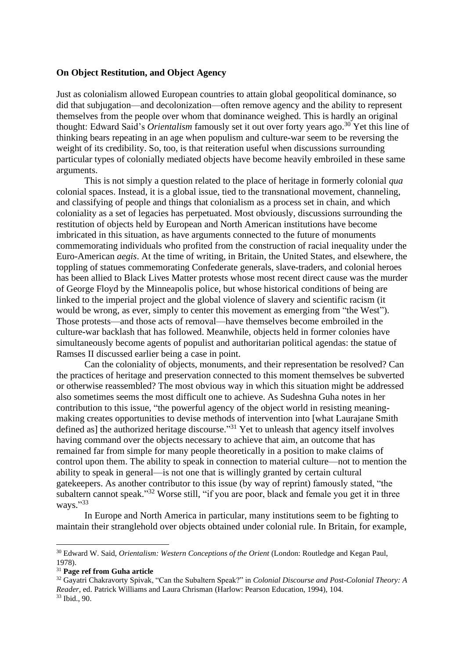#### **On Object Restitution, and Object Agency**

Just as colonialism allowed European countries to attain global geopolitical dominance, so did that subjugation—and decolonization—often remove agency and the ability to represent themselves from the people over whom that dominance weighed. This is hardly an original thought: Edward Said's *Orientalism* famously set it out over forty years ago. <sup>30</sup> Yet this line of thinking bears repeating in an age when populism and culture-war seem to be reversing the weight of its credibility. So, too, is that reiteration useful when discussions surrounding particular types of colonially mediated objects have become heavily embroiled in these same arguments.

This is not simply a question related to the place of heritage in formerly colonial *qua* colonial spaces. Instead, it is a global issue, tied to the transnational movement, channeling, and classifying of people and things that colonialism as a process set in chain, and which coloniality as a set of legacies has perpetuated. Most obviously, discussions surrounding the restitution of objects held by European and North American institutions have become imbricated in this situation, as have arguments connected to the future of monuments commemorating individuals who profited from the construction of racial inequality under the Euro-American *aegis*. At the time of writing, in Britain, the United States, and elsewhere, the toppling of statues commemorating Confederate generals, slave-traders, and colonial heroes has been allied to Black Lives Matter protests whose most recent direct cause was the murder of George Floyd by the Minneapolis police, but whose historical conditions of being are linked to the imperial project and the global violence of slavery and scientific racism (it would be wrong, as ever, simply to center this movement as emerging from "the West"). Those protests—and those acts of removal—have themselves become embroiled in the culture-war backlash that has followed. Meanwhile, objects held in former colonies have simultaneously become agents of populist and authoritarian political agendas: the statue of Ramses II discussed earlier being a case in point.

Can the coloniality of objects, monuments, and their representation be resolved? Can the practices of heritage and preservation connected to this moment themselves be subverted or otherwise reassembled? The most obvious way in which this situation might be addressed also sometimes seems the most difficult one to achieve. As Sudeshna Guha notes in her contribution to this issue, "the powerful agency of the object world in resisting meaningmaking creates opportunities to devise methods of intervention into [what Laurajane Smith defined as] the authorized heritage discourse."<sup>31</sup> Yet to unleash that agency itself involves having command over the objects necessary to achieve that aim, an outcome that has remained far from simple for many people theoretically in a position to make claims of control upon them. The ability to speak in connection to material culture—not to mention the ability to speak in general—is not one that is willingly granted by certain cultural gatekeepers. As another contributor to this issue (by way of reprint) famously stated, "the subaltern cannot speak."<sup>32</sup> Worse still, "if you are poor, black and female you get it in three ways."33

In Europe and North America in particular, many institutions seem to be fighting to maintain their stranglehold over objects obtained under colonial rule. In Britain, for example,

<sup>&</sup>lt;sup>30</sup> Edward W. Said, *Orientalism: Western Conceptions of the Orient* (London: Routledge and Kegan Paul, 1978).

<sup>31</sup> **Page ref from Guha article**

<sup>32</sup> Gayatri Chakravorty Spivak, "Can the Subaltern Speak?" in *Colonial Discourse and Post-Colonial Theory: A Reader*, ed. Patrick Williams and Laura Chrisman (Harlow: Pearson Education, 1994), 104. <sup>33</sup> Ibid., 90.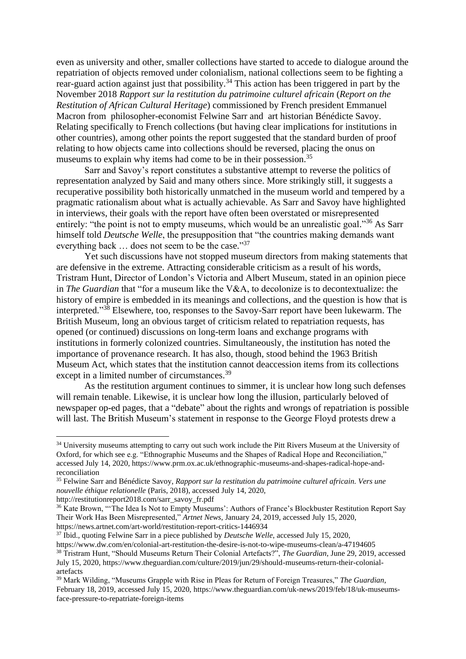even as university and other, smaller collections have started to accede to dialogue around the repatriation of objects removed under colonialism, national collections seem to be fighting a rear-guard action against just that possibility.<sup>34</sup> This action has been triggered in part by the November 2018 *Rapport sur la restitution du patrimoine culturel africain* (*Report on the Restitution of African Cultural Heritage*) commissioned by French president Emmanuel Macron from philosopher-economist Felwine Sarr and art historian Bénédicte Savoy. Relating specifically to French collections (but having clear implications for institutions in other countries), among other points the report suggested that the standard burden of proof relating to how objects came into collections should be reversed, placing the onus on museums to explain why items had come to be in their possession.<sup>35</sup>

Sarr and Savoy's report constitutes a substantive attempt to reverse the politics of representation analyzed by Said and many others since. More strikingly still, it suggests a recuperative possibility both historically unmatched in the museum world and tempered by a pragmatic rationalism about what is actually achievable. As Sarr and Savoy have highlighted in interviews, their goals with the report have often been overstated or misrepresented entirely: "the point is not to empty museums, which would be an unrealistic goal."<sup>36</sup> As Sarr himself told *Deutsche Welle*, the presupposition that "the countries making demands want everything back ... does not seem to be the case."37

Yet such discussions have not stopped museum directors from making statements that are defensive in the extreme. Attracting considerable criticism as a result of his words, Tristram Hunt, Director of London's Victoria and Albert Museum, stated in an opinion piece in *The Guardian* that "for a museum like the V&A, to decolonize is to decontextualize: the history of empire is embedded in its meanings and collections, and the question is how that is interpreted."<sup>38</sup> Elsewhere, too, responses to the Savoy-Sarr report have been lukewarm. The British Museum, long an obvious target of criticism related to repatriation requests, has opened (or continued) discussions on long-term loans and exchange programs with institutions in formerly colonized countries. Simultaneously, the institution has noted the importance of provenance research. It has also, though, stood behind the 1963 British Museum Act, which states that the institution cannot deaccession items from its collections except in a limited number of circumstances.<sup>39</sup>

As the restitution argument continues to simmer, it is unclear how long such defenses will remain tenable. Likewise, it is unclear how long the illusion, particularly beloved of newspaper op-ed pages, that a "debate" about the rights and wrongs of repatriation is possible will last. The British Museum's statement in response to the George Floyd protests drew a

<sup>37</sup> Ibid., quoting Felwine Sarr in a piece published by *Deutsche Welle*, accessed July 15, 2020, https://www.dw.com/en/colonial-art-restitution-the-desire-is-not-to-wipe-museums-clean/a-47194605

<sup>&</sup>lt;sup>34</sup> University museums attempting to carry out such work include the Pitt Rivers Museum at the University of Oxford, for which see e.g. "Ethnographic Museums and the Shapes of Radical Hope and Reconciliation," accessed July 14, 2020, https://www.prm.ox.ac.uk/ethnographic-museums-and-shapes-radical-hope-andreconciliation

<sup>35</sup> Felwine Sarr and Bénédicte Savoy, *Rapport sur la restitution du patrimoine culturel africain. Vers une nouvelle éthique relationelle* (Paris, 2018), accessed July 14, 2020,

http://restitutionreport2018.com/sarr\_savoy\_fr.pdf

<sup>&</sup>lt;sup>36</sup> Kate Brown, "The Idea Is Not to Empty Museums': Authors of France's Blockbuster Restitution Report Say Their Work Has Been Misrepresented," *Artnet News*, January 24, 2019, accessed July 15, 2020, https://news.artnet.com/art-world/restitution-report-critics-1446934

<sup>38</sup> Tristram Hunt, "Should Museums Return Their Colonial Artefacts?", *The Guardian*, June 29, 2019, accessed July 15, 2020, https://www.theguardian.com/culture/2019/jun/29/should-museums-return-their-colonialartefacts

<sup>39</sup> Mark Wilding, "Museums Grapple with Rise in Pleas for Return of Foreign Treasures," *The Guardian*, February 18, 2019, accessed July 15, 2020, https://www.theguardian.com/uk-news/2019/feb/18/uk-museumsface-pressure-to-repatriate-foreign-items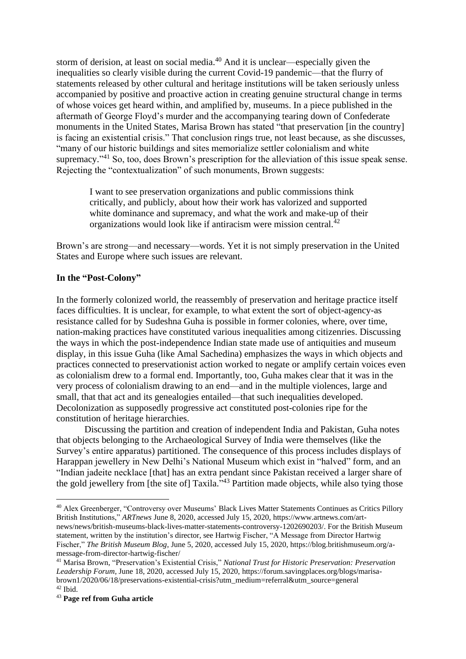storm of derision, at least on social media.<sup>40</sup> And it is unclear—especially given the inequalities so clearly visible during the current Covid-19 pandemic—that the flurry of statements released by other cultural and heritage institutions will be taken seriously unless accompanied by positive and proactive action in creating genuine structural change in terms of whose voices get heard within, and amplified by, museums. In a piece published in the aftermath of George Floyd's murder and the accompanying tearing down of Confederate monuments in the United States, Marisa Brown has stated "that preservation [in the country] is facing an existential crisis." That conclusion rings true, not least because, as she discusses, "many of our historic buildings and sites memorialize settler colonialism and white supremacy."<sup>41</sup> So, too, does Brown's prescription for the alleviation of this issue speak sense. Rejecting the "contextualization" of such monuments, Brown suggests:

I want to see preservation organizations and public commissions think critically, and publicly, about how their work has valorized and supported white dominance and supremacy, and what the work and make-up of their organizations would look like if antiracism were mission central.<sup>42</sup>

Brown's are strong—and necessary—words. Yet it is not simply preservation in the United States and Europe where such issues are relevant.

## **In the "Post-Colony"**

In the formerly colonized world, the reassembly of preservation and heritage practice itself faces difficulties. It is unclear, for example, to what extent the sort of object-agency-as resistance called for by Sudeshna Guha is possible in former colonies, where, over time, nation-making practices have constituted various inequalities among citizenries. Discussing the ways in which the post-independence Indian state made use of antiquities and museum display, in this issue Guha (like Amal Sachedina) emphasizes the ways in which objects and practices connected to preservationist action worked to negate or amplify certain voices even as colonialism drew to a formal end. Importantly, too, Guha makes clear that it was in the very process of colonialism drawing to an end—and in the multiple violences, large and small, that that act and its genealogies entailed—that such inequalities developed. Decolonization as supposedly progressive act constituted post-colonies ripe for the constitution of heritage hierarchies.

Discussing the partition and creation of independent India and Pakistan, Guha notes that objects belonging to the Archaeological Survey of India were themselves (like the Survey's entire apparatus) partitioned. The consequence of this process includes displays of Harappan jewellery in New Delhi's National Museum which exist in "halved" form, and an "Indian jadeite necklace [that] has an extra pendant since Pakistan received a larger share of the gold jewellery from [the site of] Taxila."<sup>43</sup> Partition made objects, while also tying those

<sup>40</sup> Alex Greenberger, "Controversy over Museums' Black Lives Matter Statements Continues as Critics Pillory British Institutions," *ARTnews* June 8, 2020, accessed July 15, 2020, https://www.artnews.com/artnews/news/british-museums-black-lives-matter-statements-controversy-1202690203/. For the British Museum statement, written by the institution's director, see Hartwig Fischer, "A Message from Director Hartwig Fischer," *The British Museum Blog*, June 5, 2020, accessed July 15, 2020, https://blog.britishmuseum.org/amessage-from-director-hartwig-fischer/

<sup>41</sup> Marisa Brown, "Preservation's Existential Crisis," *National Trust for Historic Preservation: Preservation Leadership Forum*, June 18, 2020, accessed July 15, 2020, https://forum.savingplaces.org/blogs/marisabrown1/2020/06/18/preservations-existential-crisis?utm\_medium=referral&utm\_source=general  $42$  Ibid.

<sup>43</sup> **Page ref from Guha article**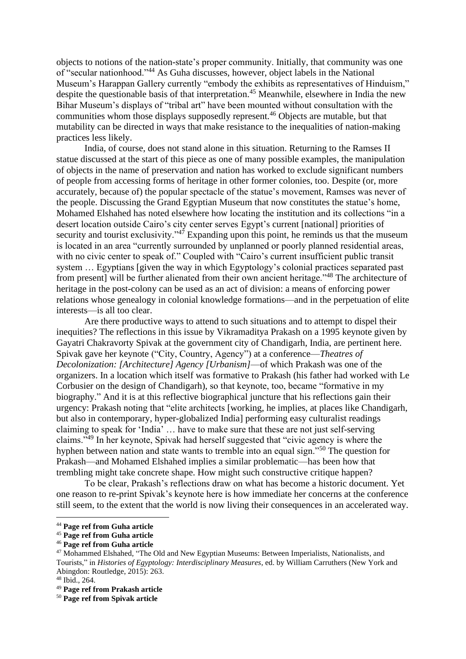objects to notions of the nation-state's proper community. Initially, that community was one of "secular nationhood."<sup>44</sup> As Guha discusses, however, object labels in the National Museum's Harappan Gallery currently "embody the exhibits as representatives of Hinduism," despite the questionable basis of that interpretation.<sup>45</sup> Meanwhile, elsewhere in India the new Bihar Museum's displays of "tribal art" have been mounted without consultation with the communities whom those displays supposedly represent.<sup>46</sup> Objects are mutable, but that mutability can be directed in ways that make resistance to the inequalities of nation-making practices less likely.

India, of course, does not stand alone in this situation. Returning to the Ramses II statue discussed at the start of this piece as one of many possible examples, the manipulation of objects in the name of preservation and nation has worked to exclude significant numbers of people from accessing forms of heritage in other former colonies, too. Despite (or, more accurately, because of) the popular spectacle of the statue's movement, Ramses was never of the people. Discussing the Grand Egyptian Museum that now constitutes the statue's home, Mohamed Elshahed has noted elsewhere how locating the institution and its collections "in a desert location outside Cairo's city center serves Egypt's current [national] priorities of security and tourist exclusivity." $47$  Expanding upon this point, he reminds us that the museum is located in an area "currently surrounded by unplanned or poorly planned residential areas, with no civic center to speak of." Coupled with "Cairo's current insufficient public transit system … Egyptians [given the way in which Egyptology's colonial practices separated past from present] will be further alienated from their own ancient heritage."<sup>48</sup> The architecture of heritage in the post-colony can be used as an act of division: a means of enforcing power relations whose genealogy in colonial knowledge formations—and in the perpetuation of elite interests—is all too clear.

Are there productive ways to attend to such situations and to attempt to dispel their inequities? The reflections in this issue by Vikramaditya Prakash on a 1995 keynote given by Gayatri Chakravorty Spivak at the government city of Chandigarh, India, are pertinent here. Spivak gave her keynote ("City, Country, Agency") at a conference—*Theatres of Decolonization: [Architecture] Agency [Urbanism]*—of which Prakash was one of the organizers. In a location which itself was formative to Prakash (his father had worked with Le Corbusier on the design of Chandigarh), so that keynote, too, became "formative in my biography." And it is at this reflective biographical juncture that his reflections gain their urgency: Prakash noting that "elite architects [working, he implies, at places like Chandigarh, but also in contemporary, hyper-globalized India] performing easy culturalist readings claiming to speak for 'India' … have to make sure that these are not just self-serving claims."<sup>49</sup> In her keynote, Spivak had herself suggested that "civic agency is where the hyphen between nation and state wants to tremble into an equal sign."<sup>50</sup> The question for Prakash—and Mohamed Elshahed implies a similar problematic—has been how that trembling might take concrete shape. How might such constructive critique happen?

To be clear, Prakash's reflections draw on what has become a historic document. Yet one reason to re-print Spivak's keynote here is how immediate her concerns at the conference still seem, to the extent that the world is now living their consequences in an accelerated way.

<sup>44</sup> **Page ref from Guha article**

<sup>45</sup> **Page ref from Guha article**

<sup>46</sup> **Page ref from Guha article**

<sup>&</sup>lt;sup>47</sup> Mohammed Elshahed, "The Old and New Egyptian Museums: Between Imperialists, Nationalists, and Tourists," in *Histories of Egyptology: Interdisciplinary Measures*, ed. by William Carruthers (New York and Abingdon: Routledge, 2015): 263.

<sup>48</sup> Ibid., 264.

<sup>49</sup> **Page ref from Prakash article**

<sup>50</sup> **Page ref from Spivak article**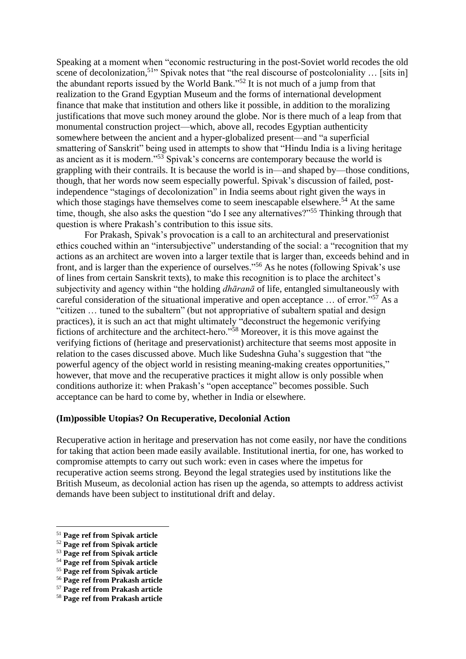Speaking at a moment when "economic restructuring in the post-Soviet world recodes the old scene of decolonization,<sup>51</sup>" Spivak notes that "the real discourse of postcoloniality ... [sits in] the abundant reports issued by the World Bank."<sup>52</sup> It is not much of a jump from that realization to the Grand Egyptian Museum and the forms of international development finance that make that institution and others like it possible, in addition to the moralizing justifications that move such money around the globe. Nor is there much of a leap from that monumental construction project—which, above all, recodes Egyptian authenticity somewhere between the ancient and a hyper-globalized present—and "a superficial smattering of Sanskrit" being used in attempts to show that "Hindu India is a living heritage as ancient as it is modern."<sup>53</sup> Spivak's concerns are contemporary because the world is grappling with their contrails. It is because the world is in—and shaped by—those conditions, though, that her words now seem especially powerful. Spivak's discussion of failed, postindependence "stagings of decolonization" in India seems about right given the ways in which those stagings have themselves come to seem inescapable elsewhere.<sup>54</sup> At the same time, though, she also asks the question "do I see any alternatives?"<sup>55</sup> Thinking through that question is where Prakash's contribution to this issue sits.

For Prakash, Spivak's provocation is a call to an architectural and preservationist ethics couched within an "intersubjective" understanding of the social: a "recognition that my actions as an architect are woven into a larger textile that is larger than, exceeds behind and in front, and is larger than the experience of ourselves."<sup>56</sup> As he notes (following Spivak's use of lines from certain Sanskrit texts), to make this recognition is to place the architect's subjectivity and agency within "the holding *dhāranā* of life, entangled simultaneously with careful consideration of the situational imperative and open acceptance … of error."<sup>57</sup> As a "citizen … tuned to the subaltern" (but not appropriative of subaltern spatial and design practices), it is such an act that might ultimately "deconstruct the hegemonic verifying fictions of architecture and the architect-hero."<sup>58</sup> Moreover, it is this move against the verifying fictions of (heritage and preservationist) architecture that seems most apposite in relation to the cases discussed above. Much like Sudeshna Guha's suggestion that "the powerful agency of the object world in resisting meaning-making creates opportunities," however, that move and the recuperative practices it might allow is only possible when conditions authorize it: when Prakash's "open acceptance" becomes possible. Such acceptance can be hard to come by, whether in India or elsewhere.

# **(Im)possible Utopias? On Recuperative, Decolonial Action**

Recuperative action in heritage and preservation has not come easily, nor have the conditions for taking that action been made easily available. Institutional inertia, for one, has worked to compromise attempts to carry out such work: even in cases where the impetus for recuperative action seems strong. Beyond the legal strategies used by institutions like the British Museum, as decolonial action has risen up the agenda, so attempts to address activist demands have been subject to institutional drift and delay.

<sup>51</sup> **Page ref from Spivak article**

<sup>52</sup> **Page ref from Spivak article**

<sup>53</sup> **Page ref from Spivak article**

<sup>54</sup> **Page ref from Spivak article**

<sup>55</sup> **Page ref from Spivak article**

<sup>56</sup> **Page ref from Prakash article**

<sup>57</sup> **Page ref from Prakash article**

<sup>58</sup> **Page ref from Prakash article**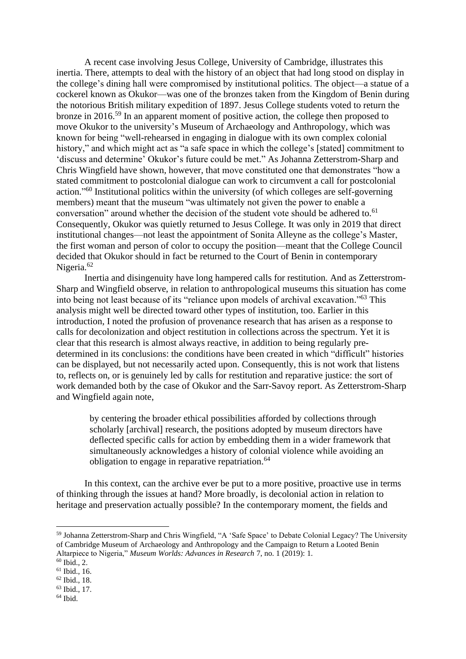A recent case involving Jesus College, University of Cambridge, illustrates this inertia. There, attempts to deal with the history of an object that had long stood on display in the college's dining hall were compromised by institutional politics. The object—a statue of a cockerel known as Okukor—was one of the bronzes taken from the Kingdom of Benin during the notorious British military expedition of 1897. Jesus College students voted to return the bronze in 2016.<sup>59</sup> In an apparent moment of positive action, the college then proposed to move Okukor to the university's Museum of Archaeology and Anthropology, which was known for being "well-rehearsed in engaging in dialogue with its own complex colonial history," and which might act as "a safe space in which the college's [stated] commitment to 'discuss and determine' Okukor's future could be met." As Johanna Zetterstrom-Sharp and Chris Wingfield have shown, however, that move constituted one that demonstrates "how a stated commitment to postcolonial dialogue can work to circumvent a call for postcolonial action."<sup>60</sup> Institutional politics within the university (of which colleges are self-governing members) meant that the museum "was ultimately not given the power to enable a conversation" around whether the decision of the student vote should be adhered to.<sup>61</sup> Consequently, Okukor was quietly returned to Jesus College. It was only in 2019 that direct institutional changes—not least the appointment of Sonita Alleyne as the college's Master, the first woman and person of color to occupy the position—meant that the College Council decided that Okukor should in fact be returned to the Court of Benin in contemporary Nigeria.<sup>62</sup>

Inertia and disingenuity have long hampered calls for restitution. And as Zetterstrom-Sharp and Wingfield observe, in relation to anthropological museums this situation has come into being not least because of its "reliance upon models of archival excavation." <sup>63</sup> This analysis might well be directed toward other types of institution, too. Earlier in this introduction, I noted the profusion of provenance research that has arisen as a response to calls for decolonization and object restitution in collections across the spectrum. Yet it is clear that this research is almost always reactive, in addition to being regularly predetermined in its conclusions: the conditions have been created in which "difficult" histories can be displayed, but not necessarily acted upon. Consequently, this is not work that listens to, reflects on, or is genuinely led by calls for restitution and reparative justice: the sort of work demanded both by the case of Okukor and the Sarr-Savoy report. As Zetterstrom-Sharp and Wingfield again note,

by centering the broader ethical possibilities afforded by collections through scholarly [archival] research, the positions adopted by museum directors have deflected specific calls for action by embedding them in a wider framework that simultaneously acknowledges a history of colonial violence while avoiding an obligation to engage in reparative repatriation.<sup>64</sup>

In this context, can the archive ever be put to a more positive, proactive use in terms of thinking through the issues at hand? More broadly, is decolonial action in relation to heritage and preservation actually possible? In the contemporary moment, the fields and

<sup>59</sup> Johanna Zetterstrom-Sharp and Chris Wingfield, "A 'Safe Space' to Debate Colonial Legacy? The University of Cambridge Museum of Archaeology and Anthropology and the Campaign to Return a Looted Benin Altarpiece to Nigeria," *Museum Worlds: Advances in Research* 7, no. 1 (2019): 1.

<sup>60</sup> Ibid., 2.

<sup>61</sup> Ibid., 16. <sup>62</sup> Ibid., 18.

<sup>63</sup> Ibid., 17.

 $64$  Ibid.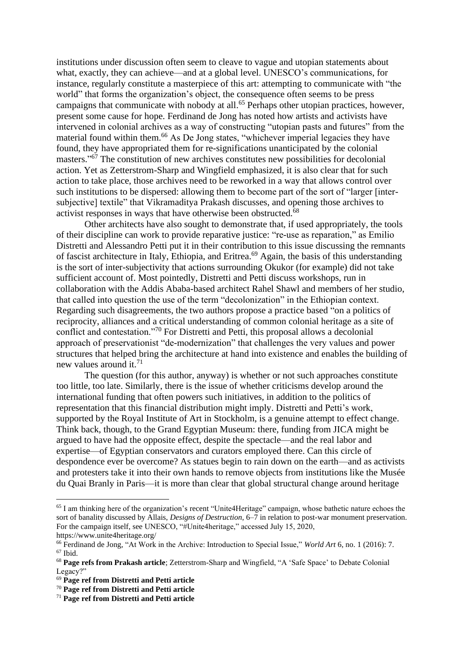institutions under discussion often seem to cleave to vague and utopian statements about what, exactly, they can achieve—and at a global level. UNESCO's communications, for instance, regularly constitute a masterpiece of this art: attempting to communicate with "the world" that forms the organization's object, the consequence often seems to be press campaigns that communicate with nobody at all. <sup>65</sup> Perhaps other utopian practices, however, present some cause for hope. Ferdinand de Jong has noted how artists and activists have intervened in colonial archives as a way of constructing "utopian pasts and futures" from the material found within them.<sup>66</sup> As De Jong states, "whichever imperial legacies they have found, they have appropriated them for re-significations unanticipated by the colonial masters." <sup>67</sup> The constitution of new archives constitutes new possibilities for decolonial action. Yet as Zetterstrom-Sharp and Wingfield emphasized, it is also clear that for such action to take place, those archives need to be reworked in a way that allows control over such institutions to be dispersed: allowing them to become part of the sort of "larger [intersubjective] textile" that Vikramaditya Prakash discusses, and opening those archives to activist responses in ways that have otherwise been obstructed.<sup>68</sup>

Other architects have also sought to demonstrate that, if used appropriately, the tools of their discipline can work to provide reparative justice: "re-use as reparation," as Emilio Distretti and Alessandro Petti put it in their contribution to this issue discussing the remnants of fascist architecture in Italy, Ethiopia, and Eritrea.<sup>69</sup> Again, the basis of this understanding is the sort of inter-subjectivity that actions surrounding Okukor (for example) did not take sufficient account of. Most pointedly, Distretti and Petti discuss workshops, run in collaboration with the Addis Ababa-based architect Rahel Shawl and members of her studio, that called into question the use of the term "decolonization" in the Ethiopian context. Regarding such disagreements, the two authors propose a practice based "on a politics of reciprocity, alliances and a critical understanding of common colonial heritage as a site of conflict and contestation."<sup>70</sup> For Distretti and Petti, this proposal allows a decolonial approach of preservationist "de-modernization" that challenges the very values and power structures that helped bring the architecture at hand into existence and enables the building of new values around it.<sup>71</sup>

The question (for this author, anyway) is whether or not such approaches constitute too little, too late. Similarly, there is the issue of whether criticisms develop around the international funding that often powers such initiatives, in addition to the politics of representation that this financial distribution might imply. Distretti and Petti's work, supported by the Royal Institute of Art in Stockholm, is a genuine attempt to effect change. Think back, though, to the Grand Egyptian Museum: there, funding from JICA might be argued to have had the opposite effect, despite the spectacle—and the real labor and expertise—of Egyptian conservators and curators employed there. Can this circle of despondence ever be overcome? As statues begin to rain down on the earth—and as activists and protesters take it into their own hands to remove objects from institutions like the Musée du Quai Branly in Paris—it is more than clear that global structural change around heritage

<sup>65</sup> I am thinking here of the organization's recent "Unite4Heritage" campaign, whose bathetic nature echoes the sort of banality discussed by Allais, *Designs of Destruction*, 6–7 in relation to post-war monument preservation. For the campaign itself, see UNESCO, "#Unite4heritage," accessed July 15, 2020, https://www.unite4heritage.org/

<sup>66</sup> Ferdinand de Jong, "At Work in the Archive: Introduction to Special Issue," *World Art* 6, no. 1 (2016): 7. <sup>67</sup> Ibid.

<sup>68</sup> **Page refs from Prakash article**; Zetterstrom-Sharp and Wingfield, "A 'Safe Space' to Debate Colonial Legacy?"

<sup>69</sup> **Page ref from Distretti and Petti article**

<sup>70</sup> **Page ref from Distretti and Petti article**

<sup>71</sup> **Page ref from Distretti and Petti article**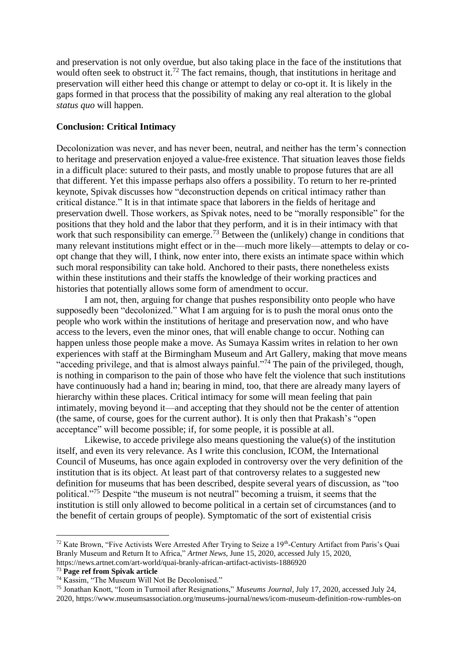and preservation is not only overdue, but also taking place in the face of the institutions that would often seek to obstruct it.<sup>72</sup> The fact remains, though, that institutions in heritage and preservation will either heed this change or attempt to delay or co-opt it. It is likely in the gaps formed in that process that the possibility of making any real alteration to the global *status quo* will happen.

# **Conclusion: Critical Intimacy**

Decolonization was never, and has never been, neutral, and neither has the term's connection to heritage and preservation enjoyed a value-free existence. That situation leaves those fields in a difficult place: sutured to their pasts, and mostly unable to propose futures that are all that different. Yet this impasse perhaps also offers a possibility. To return to her re-printed keynote, Spivak discusses how "deconstruction depends on critical intimacy rather than critical distance." It is in that intimate space that laborers in the fields of heritage and preservation dwell. Those workers, as Spivak notes, need to be "morally responsible" for the positions that they hold and the labor that they perform, and it is in their intimacy with that work that such responsibility can emerge.<sup>73</sup> Between the (unlikely) change in conditions that many relevant institutions might effect or in the—much more likely—attempts to delay or coopt change that they will, I think, now enter into, there exists an intimate space within which such moral responsibility can take hold. Anchored to their pasts, there nonetheless exists within these institutions and their staffs the knowledge of their working practices and histories that potentially allows some form of amendment to occur.

I am not, then, arguing for change that pushes responsibility onto people who have supposedly been "decolonized." What I am arguing for is to push the moral onus onto the people who work within the institutions of heritage and preservation now, and who have access to the levers, even the minor ones, that will enable change to occur. Nothing can happen unless those people make a move. As Sumaya Kassim writes in relation to her own experiences with staff at the Birmingham Museum and Art Gallery, making that move means "acceding privilege, and that is almost always painful."<sup>74</sup> The pain of the privileged, though, is nothing in comparison to the pain of those who have felt the violence that such institutions have continuously had a hand in; bearing in mind, too, that there are already many layers of hierarchy within these places. Critical intimacy for some will mean feeling that pain intimately, moving beyond it—and accepting that they should not be the center of attention (the same, of course, goes for the current author). It is only then that Prakash's "open acceptance" will become possible; if, for some people, it is possible at all.

Likewise, to accede privilege also means questioning the value(s) of the institution itself, and even its very relevance. As I write this conclusion, ICOM, the International Council of Museums, has once again exploded in controversy over the very definition of the institution that is its object. At least part of that controversy relates to a suggested new definition for museums that has been described, despite several years of discussion, as "too political."<sup>75</sup> Despite "the museum is not neutral" becoming a truism, it seems that the institution is still only allowed to become political in a certain set of circumstances (and to the benefit of certain groups of people). Symptomatic of the sort of existential crisis

 $72$  Kate Brown, "Five Activists Were Arrested After Trying to Seize a 19<sup>th</sup>-Century Artifact from Paris's Quai Branly Museum and Return It to Africa," *Artnet News*, June 15, 2020, accessed July 15, 2020, https://news.artnet.com/art-world/quai-branly-african-artifact-activists-1886920

<sup>73</sup> **Page ref from Spivak article**

<sup>74</sup> Kassim, "The Museum Will Not Be Decolonised."

<sup>75</sup> Jonathan Knott, "Icom in Turmoil after Resignations," *Museums Journal*, July 17, 2020, accessed July 24, 2020, https://www.museumsassociation.org/museums-journal/news/icom-museum-definition-row-rumbles-on